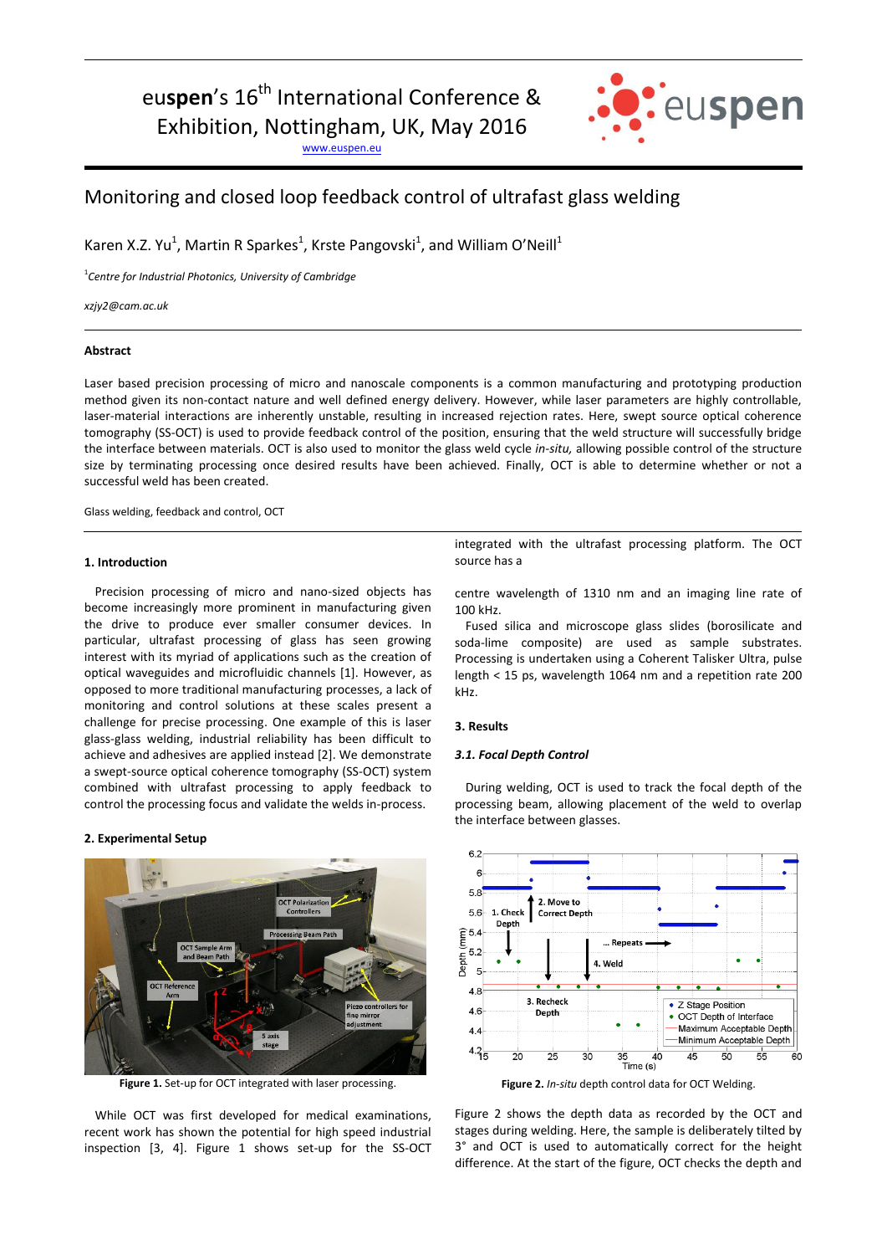# eu**spen**'s 16<sup>th</sup> International Conference & Exhibition, Nottingham, UK, May 2016

[www.euspen.eu](http://www.euspen.eu/)



## Monitoring and closed loop feedback control of ultrafast glass welding

Karen X.Z. Yu<sup>1</sup>, Martin R Sparkes<sup>1</sup>, Krste Pangovski<sup>1</sup>, and William O'Neill<sup>1</sup>

1 *Centre for Industrial Photonics, University of Cambridge*

*xzjy2@cam.ac.uk*

### **Abstract**

Laser based precision processing of micro and nanoscale components is a common manufacturing and prototyping production method given its non-contact nature and well defined energy delivery. However, while laser parameters are highly controllable, laser-material interactions are inherently unstable, resulting in increased rejection rates. Here, swept source optical coherence tomography (SS-OCT) is used to provide feedback control of the position, ensuring that the weld structure will successfully bridge the interface between materials. OCT is also used to monitor the glass weld cycle *in-situ,* allowing possible control of the structure size by terminating processing once desired results have been achieved. Finally, OCT is able to determine whether or not a successful weld has been created.

Glass welding, feedback and control, OCT

#### **1. Introduction**

Precision processing of micro and nano-sized objects has become increasingly more prominent in manufacturing given the drive to produce ever smaller consumer devices. In particular, ultrafast processing of glass has seen growing interest with its myriad of applications such as the creation of optical waveguides and microfluidic channels [1]. However, as opposed to more traditional manufacturing processes, a lack of monitoring and control solutions at these scales present a challenge for precise processing. One example of this is laser glass-glass welding, industrial reliability has been difficult to achieve and adhesives are applied instead [2]. We demonstrate a swept-source optical coherence tomography (SS-OCT) system combined with ultrafast processing to apply feedback to control the processing focus and validate the welds in-process.

#### **2. Experimental Setup**



**Figure 1.** Set-up for OCT integrated with laser processing.

While OCT was first developed for medical examinations, recent work has shown the potential for high speed industrial inspection [3, 4]. Figure 1 shows set-up for the SS-OCT integrated with the ultrafast processing platform. The OCT source has a

centre wavelength of 1310 nm and an imaging line rate of 100 kHz.

Fused silica and microscope glass slides (borosilicate and soda-lime composite) are used as sample substrates. Processing is undertaken using a Coherent Talisker Ultra, pulse length < 15 ps, wavelength 1064 nm and a repetition rate 200 kHz.

#### **3. Results**

#### *3.1. Focal Depth Control*

During welding, OCT is used to track the focal depth of the processing beam, allowing placement of the weld to overlap the interface between glasses.



**Figure 2.** *In-situ* depth control data for OCT Welding.

Figure 2 shows the depth data as recorded by the OCT and stages during welding. Here, the sample is deliberately tilted by 3° and OCT is used to automatically correct for the height difference. At the start of the figure, OCT checks the depth and